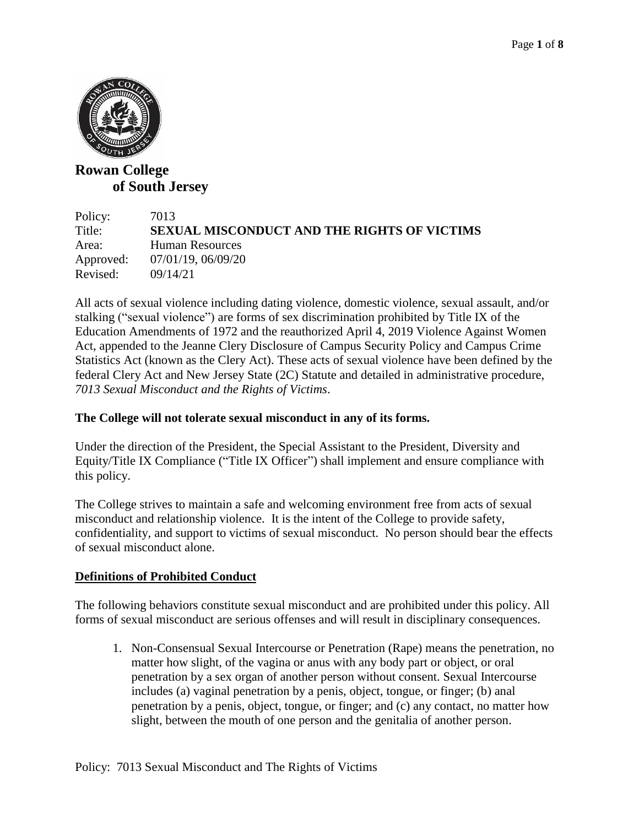

# **Rowan College of South Jersey**

| Policy:   | 7013                                               |
|-----------|----------------------------------------------------|
| Title:    | <b>SEXUAL MISCONDUCT AND THE RIGHTS OF VICTIMS</b> |
| Area:     | Human Resources                                    |
| Approved: | 07/01/19, 06/09/20                                 |
| Revised:  | 09/14/21                                           |

All acts of sexual violence including dating violence, domestic violence, sexual assault, and/or stalking ("sexual violence") are forms of sex discrimination prohibited by Title IX of the Education Amendments of 1972 and the reauthorized April 4, 2019 Violence Against Women Act, appended to the Jeanne Clery Disclosure of Campus Security Policy and Campus Crime Statistics Act (known as the Clery Act). These acts of sexual violence have been defined by the federal Clery Act and New Jersey State (2C) Statute and detailed in administrative procedure, *7013 Sexual Misconduct and the Rights of Victims*.

### **The College will not tolerate sexual misconduct in any of its forms.**

Under the direction of the President, the Special Assistant to the President, Diversity and Equity/Title IX Compliance ("Title IX Officer") shall implement and ensure compliance with this policy.

The College strives to maintain a safe and welcoming environment free from acts of sexual misconduct and relationship violence. It is the intent of the College to provide safety, confidentiality, and support to victims of sexual misconduct. No person should bear the effects of sexual misconduct alone.

# **Definitions of Prohibited Conduct**

The following behaviors constitute sexual misconduct and are prohibited under this policy. All forms of sexual misconduct are serious offenses and will result in disciplinary consequences.

1. Non-Consensual Sexual Intercourse or Penetration (Rape) means the penetration, no matter how slight, of the vagina or anus with any body part or object, or oral penetration by a sex organ of another person without consent. Sexual Intercourse includes (a) vaginal penetration by a penis, object, tongue, or finger; (b) anal penetration by a penis, object, tongue, or finger; and (c) any contact, no matter how slight, between the mouth of one person and the genitalia of another person.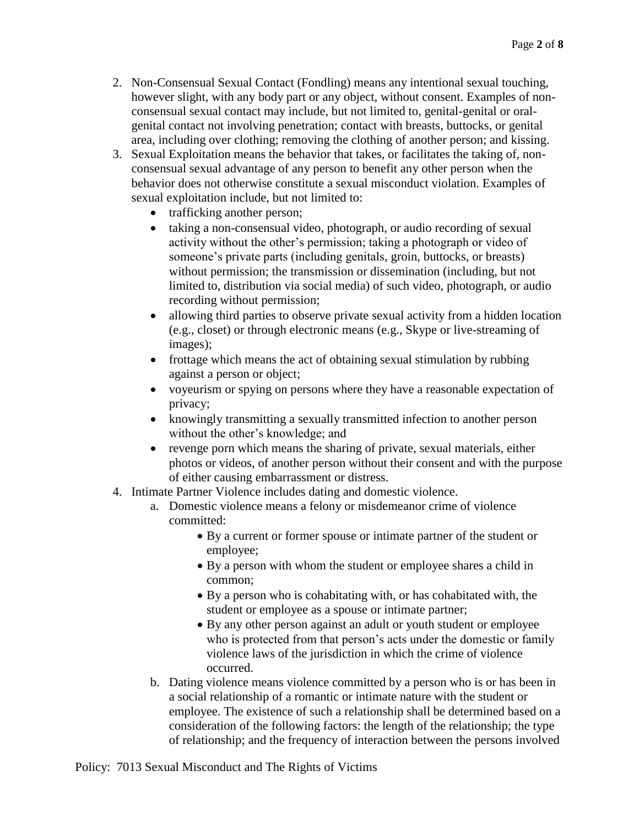- 2. Non-Consensual Sexual Contact (Fondling) means any intentional sexual touching, however slight, with any body part or any object, without consent. Examples of nonconsensual sexual contact may include, but not limited to, genital-genital or oralgenital contact not involving penetration; contact with breasts, buttocks, or genital area, including over clothing; removing the clothing of another person; and kissing.
- 3. Sexual Exploitation means the behavior that takes, or facilitates the taking of, nonconsensual sexual advantage of any person to benefit any other person when the behavior does not otherwise constitute a sexual misconduct violation. Examples of sexual exploitation include, but not limited to:
	- trafficking another person;
	- taking a non-consensual video, photograph, or audio recording of sexual activity without the other's permission; taking a photograph or video of someone's private parts (including genitals, groin, buttocks, or breasts) without permission; the transmission or dissemination (including, but not limited to, distribution via social media) of such video, photograph, or audio recording without permission;
	- allowing third parties to observe private sexual activity from a hidden location (e.g., closet) or through electronic means (e.g., Skype or live-streaming of images);
	- frottage which means the act of obtaining sexual stimulation by rubbing against a person or object;
	- voyeurism or spying on persons where they have a reasonable expectation of privacy;
	- knowingly transmitting a sexually transmitted infection to another person without the other's knowledge; and
	- revenge porn which means the sharing of private, sexual materials, either photos or videos, of another person without their consent and with the purpose of either causing embarrassment or distress.
- 4. Intimate Partner Violence includes dating and domestic violence.
	- a. Domestic violence means a felony or misdemeanor crime of violence committed:
		- By a current or former spouse or intimate partner of the student or employee;
		- By a person with whom the student or employee shares a child in common;
		- By a person who is cohabitating with, or has cohabitated with, the student or employee as a spouse or intimate partner;
		- By any other person against an adult or youth student or employee who is protected from that person's acts under the domestic or family violence laws of the jurisdiction in which the crime of violence occurred.
	- b. Dating violence means violence committed by a person who is or has been in a social relationship of a romantic or intimate nature with the student or employee. The existence of such a relationship shall be determined based on a consideration of the following factors: the length of the relationship; the type of relationship; and the frequency of interaction between the persons involved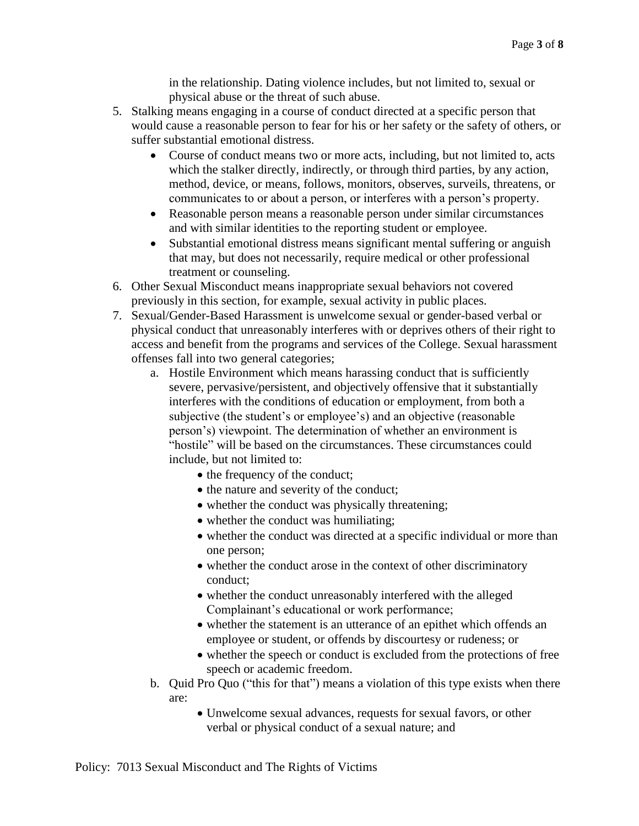in the relationship. Dating violence includes, but not limited to, sexual or physical abuse or the threat of such abuse.

- 5. Stalking means engaging in a course of conduct directed at a specific person that would cause a reasonable person to fear for his or her safety or the safety of others, or suffer substantial emotional distress.
	- Course of conduct means two or more acts, including, but not limited to, acts which the stalker directly, indirectly, or through third parties, by any action, method, device, or means, follows, monitors, observes, surveils, threatens, or communicates to or about a person, or interferes with a person's property.
	- Reasonable person means a reasonable person under similar circumstances and with similar identities to the reporting student or employee.
	- Substantial emotional distress means significant mental suffering or anguish that may, but does not necessarily, require medical or other professional treatment or counseling.
- 6. Other Sexual Misconduct means inappropriate sexual behaviors not covered previously in this section, for example, sexual activity in public places.
- 7. Sexual/Gender-Based Harassment is unwelcome sexual or gender-based verbal or physical conduct that unreasonably interferes with or deprives others of their right to access and benefit from the programs and services of the College. Sexual harassment offenses fall into two general categories;
	- a. Hostile Environment which means harassing conduct that is sufficiently severe, pervasive/persistent, and objectively offensive that it substantially interferes with the conditions of education or employment, from both a subjective (the student's or employee's) and an objective (reasonable person's) viewpoint. The determination of whether an environment is "hostile" will be based on the circumstances. These circumstances could include, but not limited to:
		- the frequency of the conduct;
		- the nature and severity of the conduct;
		- whether the conduct was physically threatening;
		- whether the conduct was humiliating;
		- whether the conduct was directed at a specific individual or more than one person;
		- whether the conduct arose in the context of other discriminatory conduct;
		- whether the conduct unreasonably interfered with the alleged Complainant's educational or work performance;
		- whether the statement is an utterance of an epithet which offends an employee or student, or offends by discourtesy or rudeness; or
		- whether the speech or conduct is excluded from the protections of free speech or academic freedom.
	- b. Quid Pro Quo ("this for that") means a violation of this type exists when there are:
		- Unwelcome sexual advances, requests for sexual favors, or other verbal or physical conduct of a sexual nature; and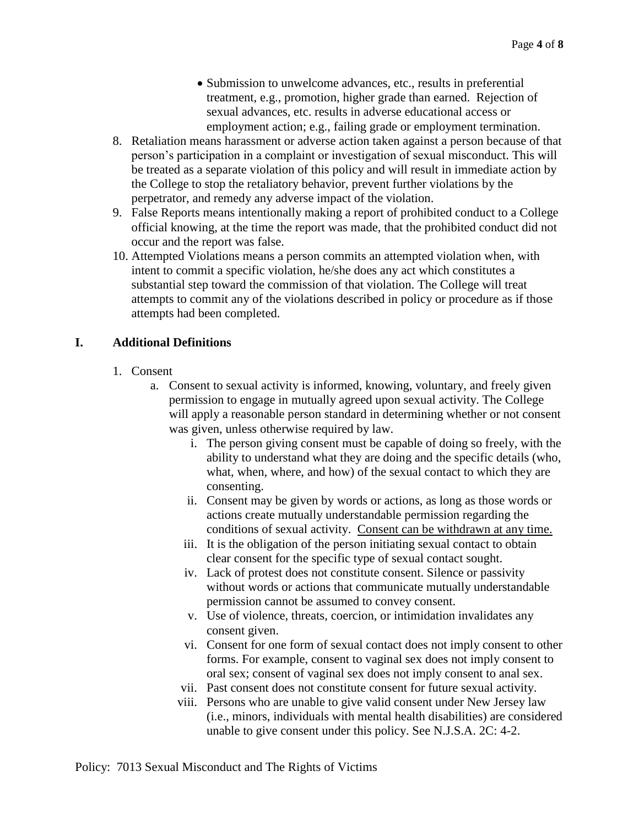- Submission to unwelcome advances, etc., results in preferential treatment, e.g., promotion, higher grade than earned. Rejection of sexual advances, etc. results in adverse educational access or employment action; e.g., failing grade or employment termination.
- 8. Retaliation means harassment or adverse action taken against a person because of that person's participation in a complaint or investigation of sexual misconduct. This will be treated as a separate violation of this policy and will result in immediate action by the College to stop the retaliatory behavior, prevent further violations by the perpetrator, and remedy any adverse impact of the violation.
- 9. False Reports means intentionally making a report of prohibited conduct to a College official knowing, at the time the report was made, that the prohibited conduct did not occur and the report was false.
- 10. Attempted Violations means a person commits an attempted violation when, with intent to commit a specific violation, he/she does any act which constitutes a substantial step toward the commission of that violation. The College will treat attempts to commit any of the violations described in policy or procedure as if those attempts had been completed.

## **I. Additional Definitions**

- 1. Consent
	- a. Consent to sexual activity is informed, knowing, voluntary, and freely given permission to engage in mutually agreed upon sexual activity. The College will apply a reasonable person standard in determining whether or not consent was given, unless otherwise required by law.
		- i. The person giving consent must be capable of doing so freely, with the ability to understand what they are doing and the specific details (who, what, when, where, and how) of the sexual contact to which they are consenting.
		- ii. Consent may be given by words or actions, as long as those words or actions create mutually understandable permission regarding the conditions of sexual activity. Consent can be withdrawn at any time.
		- iii. It is the obligation of the person initiating sexual contact to obtain clear consent for the specific type of sexual contact sought.
		- iv. Lack of protest does not constitute consent. Silence or passivity without words or actions that communicate mutually understandable permission cannot be assumed to convey consent.
		- v. Use of violence, threats, coercion, or intimidation invalidates any consent given.
		- vi. Consent for one form of sexual contact does not imply consent to other forms. For example, consent to vaginal sex does not imply consent to oral sex; consent of vaginal sex does not imply consent to anal sex.
		- vii. Past consent does not constitute consent for future sexual activity.
		- viii. Persons who are unable to give valid consent under New Jersey law (i.e., minors, individuals with mental health disabilities) are considered unable to give consent under this policy. See N.J.S.A. 2C: 4-2.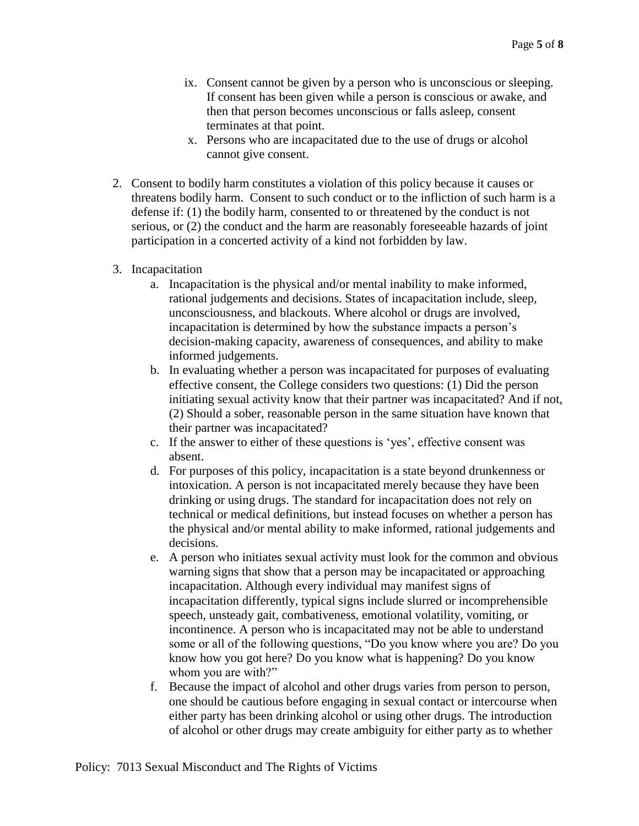- ix. Consent cannot be given by a person who is unconscious or sleeping. If consent has been given while a person is conscious or awake, and then that person becomes unconscious or falls asleep, consent terminates at that point.
- x. Persons who are incapacitated due to the use of drugs or alcohol cannot give consent.
- 2. Consent to bodily harm constitutes a violation of this policy because it causes or threatens bodily harm. Consent to such conduct or to the infliction of such harm is a defense if: (1) the bodily harm, consented to or threatened by the conduct is not serious, or (2) the conduct and the harm are reasonably foreseeable hazards of joint participation in a concerted activity of a kind not forbidden by law.
- 3. Incapacitation
	- a. Incapacitation is the physical and/or mental inability to make informed, rational judgements and decisions. States of incapacitation include, sleep, unconsciousness, and blackouts. Where alcohol or drugs are involved, incapacitation is determined by how the substance impacts a person's decision-making capacity, awareness of consequences, and ability to make informed judgements.
	- b. In evaluating whether a person was incapacitated for purposes of evaluating effective consent, the College considers two questions: (1) Did the person initiating sexual activity know that their partner was incapacitated? And if not, (2) Should a sober, reasonable person in the same situation have known that their partner was incapacitated?
	- c. If the answer to either of these questions is 'yes', effective consent was absent.
	- d. For purposes of this policy, incapacitation is a state beyond drunkenness or intoxication. A person is not incapacitated merely because they have been drinking or using drugs. The standard for incapacitation does not rely on technical or medical definitions, but instead focuses on whether a person has the physical and/or mental ability to make informed, rational judgements and decisions.
	- e. A person who initiates sexual activity must look for the common and obvious warning signs that show that a person may be incapacitated or approaching incapacitation. Although every individual may manifest signs of incapacitation differently, typical signs include slurred or incomprehensible speech, unsteady gait, combativeness, emotional volatility, vomiting, or incontinence. A person who is incapacitated may not be able to understand some or all of the following questions, "Do you know where you are? Do you know how you got here? Do you know what is happening? Do you know whom you are with?"
	- f. Because the impact of alcohol and other drugs varies from person to person, one should be cautious before engaging in sexual contact or intercourse when either party has been drinking alcohol or using other drugs. The introduction of alcohol or other drugs may create ambiguity for either party as to whether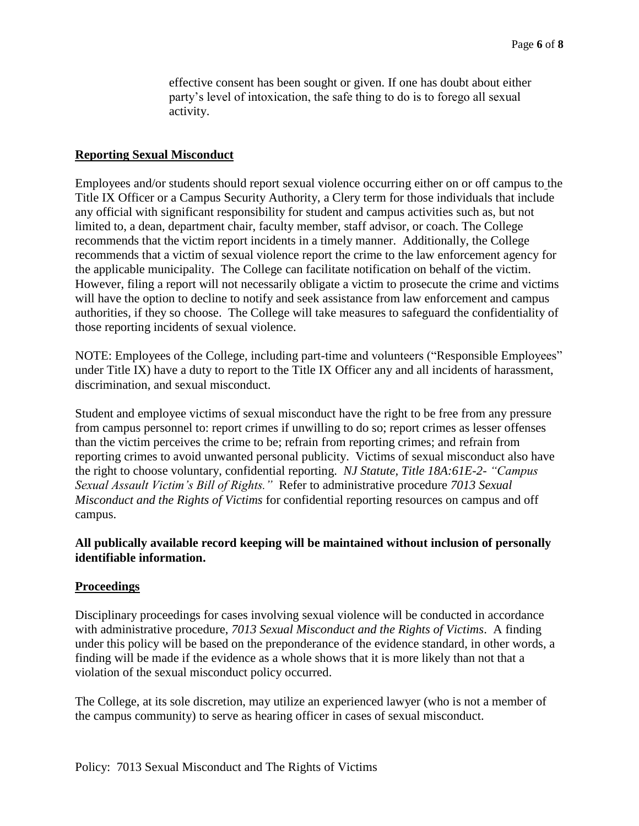effective consent has been sought or given. If one has doubt about either party's level of intoxication, the safe thing to do is to forego all sexual activity.

#### **Reporting Sexual Misconduct**

Employees and/or students should report sexual violence occurring either on or off campus to the Title IX Officer or a Campus Security Authority, a Clery term for those individuals that include any official with significant responsibility for student and campus activities such as, but not limited to, a dean, department chair, faculty member, staff advisor, or coach. The College recommends that the victim report incidents in a timely manner. Additionally, the College recommends that a victim of sexual violence report the crime to the law enforcement agency for the applicable municipality. The College can facilitate notification on behalf of the victim. However, filing a report will not necessarily obligate a victim to prosecute the crime and victims will have the option to decline to notify and seek assistance from law enforcement and campus authorities, if they so choose. The College will take measures to safeguard the confidentiality of those reporting incidents of sexual violence.

NOTE: Employees of the College, including part-time and volunteers ("Responsible Employees" under Title IX) have a duty to report to the Title IX Officer any and all incidents of harassment, discrimination, and sexual misconduct.

Student and employee victims of sexual misconduct have the right to be free from any pressure from campus personnel to: report crimes if unwilling to do so; report crimes as lesser offenses than the victim perceives the crime to be; refrain from reporting crimes; and refrain from reporting crimes to avoid unwanted personal publicity. Victims of sexual misconduct also have the right to choose voluntary, confidential reporting. *NJ Statute, Title 18A:61E-2- "Campus Sexual Assault Victim's Bill of Rights."* Refer to administrative procedure *7013 Sexual Misconduct and the Rights of Victims* for confidential reporting resources on campus and off campus.

#### **All publically available record keeping will be maintained without inclusion of personally identifiable information.**

#### **Proceedings**

Disciplinary proceedings for cases involving sexual violence will be conducted in accordance with administrative procedure, *7013 Sexual Misconduct and the Rights of Victims*. A finding under this policy will be based on the preponderance of the evidence standard, in other words, a finding will be made if the evidence as a whole shows that it is more likely than not that a violation of the sexual misconduct policy occurred.

The College, at its sole discretion, may utilize an experienced lawyer (who is not a member of the campus community) to serve as hearing officer in cases of sexual misconduct.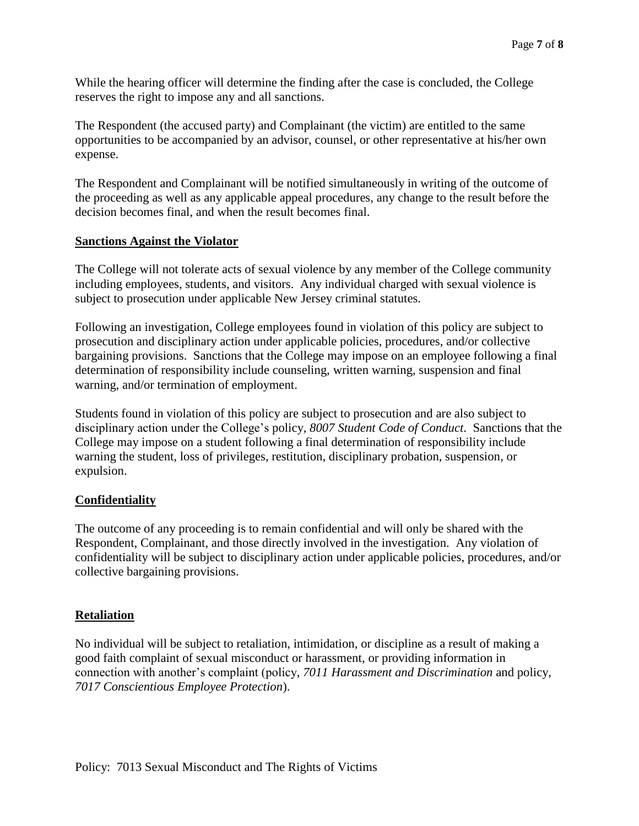While the hearing officer will determine the finding after the case is concluded, the College reserves the right to impose any and all sanctions.

The Respondent (the accused party) and Complainant (the victim) are entitled to the same opportunities to be accompanied by an advisor, counsel, or other representative at his/her own expense.

The Respondent and Complainant will be notified simultaneously in writing of the outcome of the proceeding as well as any applicable appeal procedures, any change to the result before the decision becomes final, and when the result becomes final.

#### **Sanctions Against the Violator**

The College will not tolerate acts of sexual violence by any member of the College community including employees, students, and visitors. Any individual charged with sexual violence is subject to prosecution under applicable New Jersey criminal statutes.

Following an investigation, College employees found in violation of this policy are subject to prosecution and disciplinary action under applicable policies, procedures, and/or collective bargaining provisions. Sanctions that the College may impose on an employee following a final determination of responsibility include counseling, written warning, suspension and final warning, and/or termination of employment.

Students found in violation of this policy are subject to prosecution and are also subject to disciplinary action under the College's policy, *8007 Student Code of Conduct*. Sanctions that the College may impose on a student following a final determination of responsibility include warning the student, loss of privileges, restitution, disciplinary probation, suspension, or expulsion.

#### **Confidentiality**

The outcome of any proceeding is to remain confidential and will only be shared with the Respondent, Complainant, and those directly involved in the investigation. Any violation of confidentiality will be subject to disciplinary action under applicable policies, procedures, and/or collective bargaining provisions.

#### **Retaliation**

No individual will be subject to retaliation, intimidation, or discipline as a result of making a good faith complaint of sexual misconduct or harassment, or providing information in connection with another's complaint (policy, *7011 Harassment and Discrimination* and policy, *7017 Conscientious Employee Protection*).